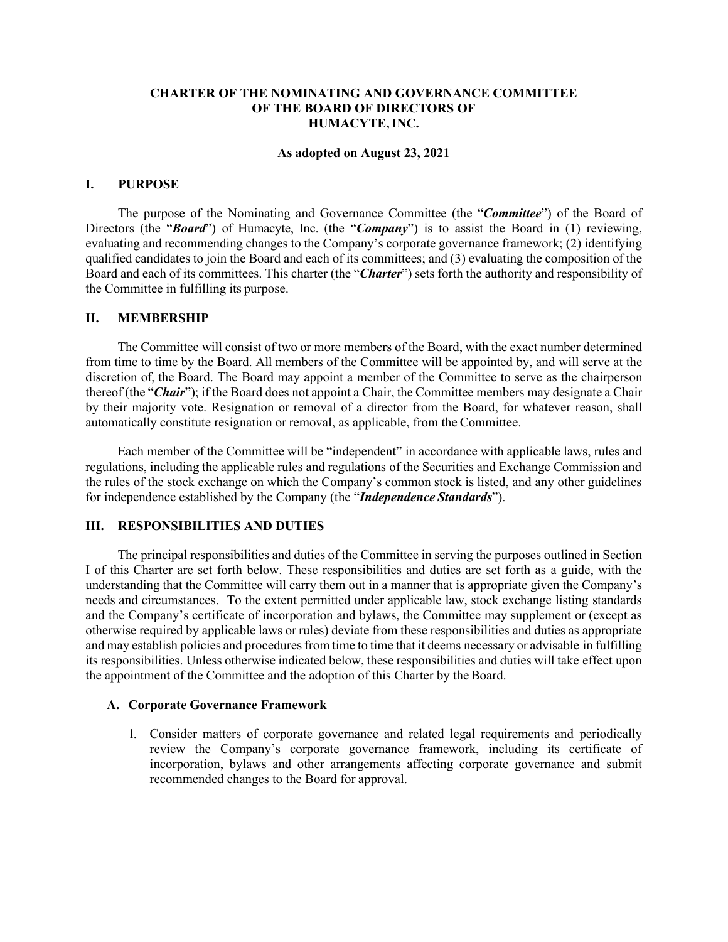# **CHARTER OF THE NOMINATING AND GOVERNANCE COMMITTEE OF THE BOARD OF DIRECTORS OF HUMACYTE,INC.**

#### **As adopted on August 23, 2021**

#### **I. PURPOSE**

The purpose of the Nominating and Governance Committee (the "*Committee*") of the Board of Directors (the "**Board**") of Humacyte, Inc. (the "**Company**") is to assist the Board in (1) reviewing, evaluating and recommending changes to the Company's corporate governance framework; (2) identifying qualified candidates to join the Board and each of its committees; and (3) evaluating the composition of the Board and each of its committees. This charter (the "*Charter*") sets forth the authority and responsibility of the Committee in fulfilling its purpose.

#### **II. MEMBERSHIP**

The Committee will consist of two or more members of the Board, with the exact number determined from time to time by the Board. All members of the Committee will be appointed by, and will serve at the discretion of, the Board. The Board may appoint a member of the Committee to serve as the chairperson thereof (the "*Chair*"); if the Board does not appoint a Chair, the Committee members may designate a Chair by their majority vote. Resignation or removal of a director from the Board, for whatever reason, shall automatically constitute resignation or removal, as applicable, from the Committee.

Each member of the Committee will be "independent" in accordance with applicable laws, rules and regulations, including the applicable rules and regulations of the Securities and Exchange Commission and the rules of the stock exchange on which the Company's common stock is listed, and any other guidelines for independence established by the Company (the "*Independence Standards*").

# **III. RESPONSIBILITIES AND DUTIES**

The principal responsibilities and duties of the Committee in serving the purposes outlined in Section I of this Charter are set forth below. These responsibilities and duties are set forth as a guide, with the understanding that the Committee will carry them out in a manner that is appropriate given the Company's needs and circumstances. To the extent permitted under applicable law, stock exchange listing standards and the Company's certificate of incorporation and bylaws, the Committee may supplement or (except as otherwise required by applicable laws or rules) deviate from these responsibilities and duties as appropriate and may establish policies and procedures from time to time that it deems necessary or advisable in fulfilling its responsibilities. Unless otherwise indicated below, these responsibilities and duties will take effect upon the appointment of the Committee and the adoption of this Charter by the Board.

#### **A. Corporate Governance Framework**

1. Consider matters of corporate governance and related legal requirements and periodically review the Company's corporate governance framework, including its certificate of incorporation, bylaws and other arrangements affecting corporate governance and submit recommended changes to the Board for approval.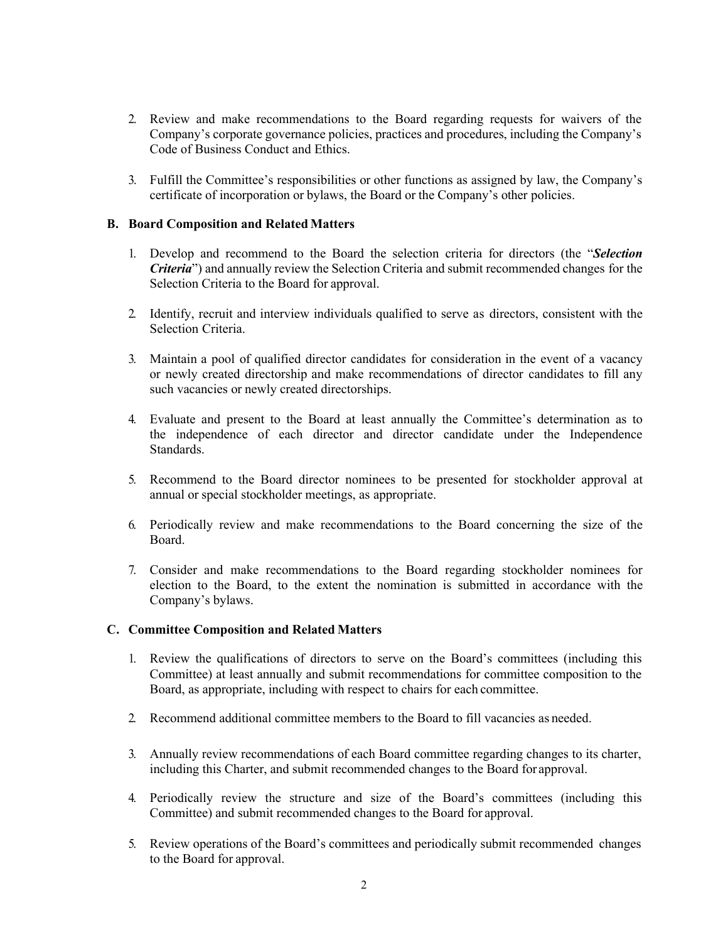- 2. Review and make recommendations to the Board regarding requests for waivers of the Company's corporate governance policies, practices and procedures, including the Company's Code of Business Conduct and Ethics.
- 3. Fulfill the Committee's responsibilities or other functions as assigned by law, the Company's certificate of incorporation or bylaws, the Board or the Company's other policies.

# **B. Board Composition and Related Matters**

- 1. Develop and recommend to the Board the selection criteria for directors (the "*Selection Criteria*") and annually review the Selection Criteria and submit recommended changes for the Selection Criteria to the Board for approval.
- 2. Identify, recruit and interview individuals qualified to serve as directors, consistent with the Selection Criteria.
- 3. Maintain a pool of qualified director candidates for consideration in the event of a vacancy or newly created directorship and make recommendations of director candidates to fill any such vacancies or newly created directorships.
- 4. Evaluate and present to the Board at least annually the Committee's determination as to the independence of each director and director candidate under the Independence Standards.
- 5. Recommend to the Board director nominees to be presented for stockholder approval at annual or special stockholder meetings, as appropriate.
- 6. Periodically review and make recommendations to the Board concerning the size of the Board.
- 7. Consider and make recommendations to the Board regarding stockholder nominees for election to the Board, to the extent the nomination is submitted in accordance with the Company's bylaws.

#### **C. Committee Composition and Related Matters**

- 1. Review the qualifications of directors to serve on the Board's committees (including this Committee) at least annually and submit recommendations for committee composition to the Board, as appropriate, including with respect to chairs for each committee.
- 2. Recommend additional committee members to the Board to fill vacancies as needed.
- 3. Annually review recommendations of each Board committee regarding changes to its charter, including this Charter, and submit recommended changes to the Board for approval.
- 4. Periodically review the structure and size of the Board's committees (including this Committee) and submit recommended changes to the Board for approval.
- 5. Review operations of the Board's committees and periodically submit recommended changes to the Board for approval.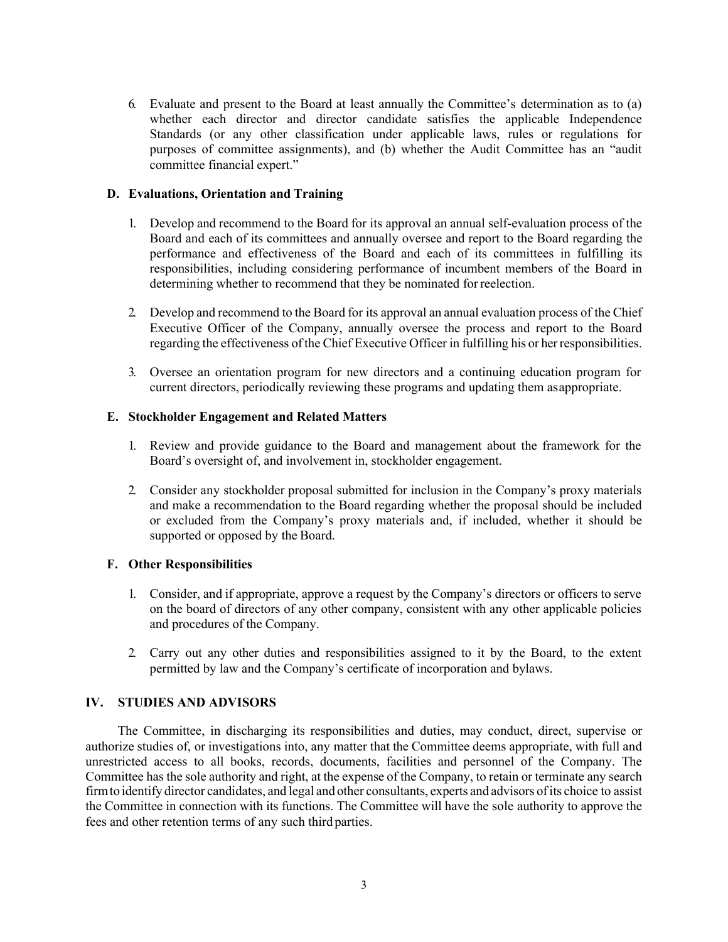6. Evaluate and present to the Board at least annually the Committee's determination as to (a) whether each director and director candidate satisfies the applicable Independence Standards (or any other classification under applicable laws, rules or regulations for purposes of committee assignments), and (b) whether the Audit Committee has an "audit committee financial expert."

### **D. Evaluations, Orientation and Training**

- 1. Develop and recommend to the Board for its approval an annual self-evaluation process of the Board and each of its committees and annually oversee and report to the Board regarding the performance and effectiveness of the Board and each of its committees in fulfilling its responsibilities, including considering performance of incumbent members of the Board in determining whether to recommend that they be nominated forreelection.
- 2. Develop and recommend to the Board for its approval an annual evaluation process of the Chief Executive Officer of the Company, annually oversee the process and report to the Board regarding the effectiveness of the Chief Executive Officer in fulfilling his or her responsibilities.
- 3. Oversee an orientation program for new directors and a continuing education program for current directors, periodically reviewing these programs and updating them asappropriate.

### **E. Stockholder Engagement and Related Matters**

- 1. Review and provide guidance to the Board and management about the framework for the Board's oversight of, and involvement in, stockholder engagement.
- 2. Consider any stockholder proposal submitted for inclusion in the Company's proxy materials and make a recommendation to the Board regarding whether the proposal should be included or excluded from the Company's proxy materials and, if included, whether it should be supported or opposed by the Board.

# **F. Other Responsibilities**

- 1. Consider, and if appropriate, approve a request by the Company's directors or officers to serve on the board of directors of any other company, consistent with any other applicable policies and procedures of the Company.
- 2. Carry out any other duties and responsibilities assigned to it by the Board, to the extent permitted by law and the Company's certificate of incorporation and bylaws.

# **IV. STUDIES AND ADVISORS**

The Committee, in discharging its responsibilities and duties, may conduct, direct, supervise or authorize studies of, or investigations into, any matter that the Committee deems appropriate, with full and unrestricted access to all books, records, documents, facilities and personnel of the Company. The Committee has the sole authority and right, at the expense of the Company, to retain or terminate any search firmto identify director candidates, and legal and other consultants, experts and advisors ofits choice to assist the Committee in connection with its functions. The Committee will have the sole authority to approve the fees and other retention terms of any such third parties.